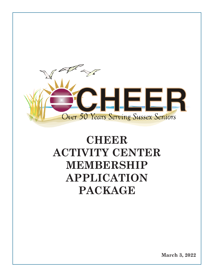

# **CHEER ACTIVITY CENTER MEMBERSHIP APPLICATION PACKAGE**

**March 3, 2022 1**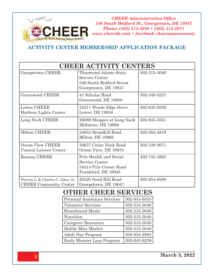

#### **ACTIVITY CENTER MEMBERSHIP APPLICATION PACKAGE**

| <b>CHEER ACTIVITY CENTERS</b>                                      |                                                                                                   |              |  |  |  |  |  |  |  |
|--------------------------------------------------------------------|---------------------------------------------------------------------------------------------------|--------------|--|--|--|--|--|--|--|
| Georgetown CHEER                                                   | <b>Thurmond Adams State</b><br>Service Center<br>546 South Bedford Street<br>Georgetown, DE 19947 | 302-515-3040 |  |  |  |  |  |  |  |
| Greenwood CHEER                                                    | 41 Schulze Road<br>Greenwood, DE 19950                                                            | 302-349-5237 |  |  |  |  |  |  |  |
| Lewes CHEER<br>Harbour Lights Center                               | 34211 Woods Edge Drive<br>Lewes, DE 19958                                                         | 302-645-9239 |  |  |  |  |  |  |  |
| Long Neck CHEER                                                    | 26089 Shoppes at Long Neck<br>Millsboro, DE 19966                                                 | 302-945-3551 |  |  |  |  |  |  |  |
| Milton CHEER                                                       | 24855 Broadkill Road<br>Milton, DE 19968                                                          | 302-684-4819 |  |  |  |  |  |  |  |
| Ocean View CHEER<br>Coastal Leisure Center                         | 30637 Cedar Neck Road<br>Ocean View, DE 19970                                                     | 302-539-2671 |  |  |  |  |  |  |  |
| Roxana CHEER                                                       | Pyle Health and Social<br>Service Center<br>34314 Pyle Center Road<br>Frankford, DE 19945         | 302-732-3662 |  |  |  |  |  |  |  |
| Warren L. & Charles C. Allen, Jr.<br><b>CHEER Community Center</b> | 20520 Sand Hill Road<br>Georgetown, DE 19947                                                      | 302-854-9500 |  |  |  |  |  |  |  |

## **OTHER CHEER SERVICES**

| Personal Assistance Services | 302-854-9555 |
|------------------------------|--------------|
| <b>Volunteer Services</b>    | 302-515-3040 |
| <b>Homebound Meals</b>       | 302-515-3040 |
| Nutrition                    | 302-515-3040 |
| <b>Caregiver Resources</b>   | 302-515-3040 |
| Mobile Mini Market           | 302-515-3040 |
| <b>Adult Day Program</b>     | 302-854-2882 |
| Early Memory Loss Program    | 302-645-9239 |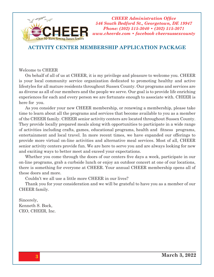

#### **ACTIVITY CENTER MEMBERSHIP APPLICATION PACKAGE**

#### Welcome to CHEER

On behalf of all of us at CHEER, it is my privilege and pleasure to welcome you. CHEER is your local community service organization dedicated to promoting healthy and active lifestyles for all mature residents throughout Sussex County. Our programs and services are as diverse as all of our members and the people we serve. Our goal is to provide life enriching experiences for each and every person we are fortunate enough to associate with. CHEER is here for you.

As you consider your new CHEER membership, or renewing a membership, please take time to learn about all the programs and services that become available to you as a member of the CHEER family. CHEER senior activity centers are located throughout Sussex County. They provide locally prepared meals along with opportunities to participate in a wide range of activities including crafts, games, educational programs, health and fitness programs, entertainment and local travel. In more recent times, we have expanded our offerings to provide more virtual on-line activities and alternative meal services. Most of all, CHEER senior activity centers provide fun. We are here to serve you and are always looking for new and exciting ways to better meet and exceed your expectations.

Whether you come through the doors of our centers five days a week, participate in our on-line programs, grab a curbside lunch or enjoy an outdoor concert at one of our locations, there is something for everyone at CHEER. Your annual CHEER membership opens all of these doors and more.

Couldn't we all use a little more CHEER in our lives?

Thank you for your consideration and we will be grateful to have you as a member of our CHEER family.

Sincerely, Kenneth S. Bock, CEO, CHEER, Inc.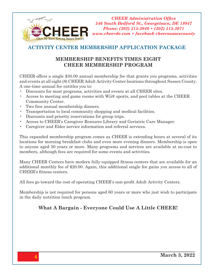

#### **ACTIVITY CENTER MEMBERSHIP APPLICATION PACKAGE**

#### **MEMBERSHIP BENEFITS TIMES EIGHT CHEER MEMBERSHIP PROGRAM**

CHEER offers a single \$30.00 annual membership fee that grants you programs, activities and events at all eight (8) CHEER Adult Activity Center locations throughout Sussex County. A one-time annual fee entitles you to:

- Discounts for most programs, activities and events at all CHEER sites.
- Access to meeting and game rooms with Wii® sports, and pool tables at the CHEER Community Center.
- Two free annual membership dinners.
- Transportation to local community shopping and medical facilities.
- Discounts and priority reservations for group trips.
- Access to CHEER's Caregiver Resource Library and Geriatric Care Manager.
- Caregiver and Elder service information and referral services.

This expanded membership program comes as CHEER is extending hours at several of its locations for morning breakfast clubs and even more evening dinners. Membership is open to anyone aged 50 years or more. Many programs and services are available at no-cost to members, although fees are required for some events and activities.

Many CHEER Centers have modern fully equipped fitness centers that are available for an additional monthly fee of \$20.00. Again, this additional single fee gains you access to all of CHEER's fitness centers.

All fees go toward the cost of operating CHEER's non-profit Adult Activity Centers.

Membership is not required for persons aged 60 years or more who just wish to participate in the daily nutrition lunch program.

#### **What A Bargain - Everyone Could Use A Little CHEER!**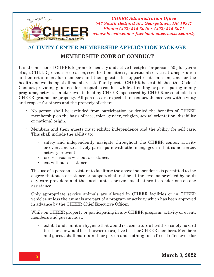

## **ACTIVITY CENTER MEMBERSHIP APPLICATION PACKAGE MEMBERSHIP CODE OF CONDUCT**

It is the mission of CHEER to promote healthy and active lifestyles for persons 50 plus years of age. CHEER provides recreation, socialization, fitness, nutritional services, transportation and entertainment for members and their guests. In support of its mission, and for the health and wellbeing of all members, staff and guests, CHEER has established this Code of Conduct providing guidance for acceptable conduct while attending or participating in any programs, activities and/or events held by CHEER, sponsored by CHEER or conducted on CHEER grounds or property. All persons are expected to conduct themselves with civility and respect for others and the property of others.

- No person shall be excluded from participation or denied the benefits of CHEER membership on the basis of race, color, gender, religion, sexual orientation, disability or national origin.
- Members and their guests must exhibit independence and the ability for self care. This shall include the ability to:
	- safely and independently navigate throughout the CHEER center, activity or event and to actively participate with others engaged in that same center, activity or event.
	- use restrooms without assistance.
	- eat without assistance.

The use of a personal assistant to facilitate the above independence is permitted to the degree that such assistance or support shall not be at the level as provided by adult day care providers and that assistant is present at all times to render one-on-one assistance.

Only appropriate service animals are allowed in CHEER facilities or in CHEER vehicles unless the animals are part of a program or activity which has been approved in advance by the CHEER Chief Executive Officer.

- While on CHEER property or participating in any CHEER program, activity or event, members and guests must:
	- exhibit and maintain hygiene that would not constitute a health or safety hazard to others, or would be otherwise disruptive to other CHEER members. Members and guests shall maintain their person and clothing to be free of offensive odor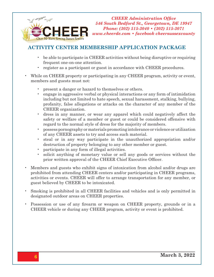

#### **ACTIVITY CENTER MEMBERSHIP APPLICATION PACKAGE**

- be able to participate in CHEER activities without being disruptive or requiring frequent one-on-one attention.
- register as a participant or guest in accordance with CHEER procedures.
- While on CHEER property or participating in any CHEER program, activity or event, members and guests must not:
	- present a danger or hazard to themselves or others.
	- engage in aggressive verbal or physical interactions or any form of intimidation including but not limited to hate speech, sexual harassment, stalking, bullying, profanity, false allegations or attacks on the character of any member of the CHEER organization.
	- dress in any manner, or wear any apparel which could negatively affect the safety or welfare of a member or guest or could be considered offensive with regard to the normal style of dress for the majority of members.
	- possess pornography or materials promoting intolerance or violence or utilization of any CHEER assets to try and access such material.
	- steal or in any way participate in the unauthorized appropriation and/or destruction of property belonging to any other member or guest.
	- participate in any form of illegal activities.
	- solicit anything of monetary value or sell any goods or services without the prior written approval of the CHEER Chief Executive Officer.
- Members and guests who exhibit signs of intoxication from alcohol and/or drugs are prohibited from attending CHEER centers and/or participating in CHEER programs, activities or events. CHEER will offer to arrange transportation for any member, or guest believed by CHEER to be intoxicated.
- Smoking is prohibited in all CHEER facilities and vehicles and is only permitted in designated outdoor areas on CHEER properties.
- Possession or use of any firearm or weapon on CHEER property, grounds or in a CHEER vehicle or during any CHEER program, activity or event is prohibited.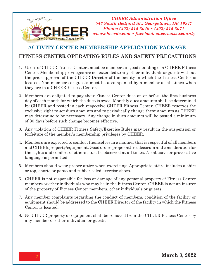

#### **ACTIVITY CENTER MEMBERSHIP APPLICATION PACKAGE**

#### **FITNESS CENTER OPERATING RULES AND SAFETY PRECAUTIONS**

- 1. Users of CHEER Fitness Centers must be members in good standing of a CHEER Fitness Center. Membership privileges are not extended to any other individuals or guests without the prior approval of the CHEER Director of the facility in which the Fitness Center is located. Non-members or guests must be accompanied by a member at all times when they are in a CHEER Fitness Center.
- 2. Members are obligated to pay their Fitness Center dues on or before the first business day of each month for which the dues is owed. Monthly dues amounts shall be determined by CHEER and posted in each respective CHEER Fitness Center. CHEER reserves the exclusive right to set dues amounts and to periodically change these amounts as CHEER may determine to be necessary. Any change in dues amounts will be posted a minimum of 30 days before such change becomes effective.
- 3. Any violation of CHEER Fitness Safety/Exercise Rules may result in the suspension or forfeiture of the member's membership privileges by CHEER.
- 4. Members are expected to conduct themselves in a manner that is respectful of all members and CHEER property/equipment. Good order, proper attire, decorum and consideration for the rights and comfort of others must be observed at all times. No abusive or provocative language is permitted.
- 5. Members should wear proper attire when exercising. Appropriate attire includes a shirt or top, shorts or pants and rubber soled exercise shoes.
- 6. CHEER is not responsible for loss or damage of any personal property of Fitness Center members or other individuals who may be in the Fitness Center. CHEER is not an insurer of the property of Fitness Center members, other individuals or guests.
- 7. Any member complaints regarding the conduct of members, condition of the facility or equipment should be addressed to the CHEER Director of the facility in which the Fitness Center is located.
- 8. No CHEER property or equipment shall be removed from the CHEER Fitness Center by any member or other individual or guests.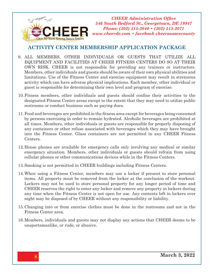

#### **ACTIVITY CENTER MEMBERSHIP APPLICATION PACKAGE**

- 9. ALL MEMBERS, OTHER INDIVIDUALS OR GUESTS THAT UTILIZE ALL EQUIPMENT AND FACILITIES AT CHEER FITNESS CENTERS DO SO AT THEIR OWN RISK. CHEER is not responsible for providing any trainers or instructors. Members, other individuals and guests should be aware of their own physical abilities and limitations. Use of the Fitness Center and exercise equipment may result in strenuous activity which can have adverse physical implications. Each member, other individual or guest is responsible for determining their own level and program of exercise.
- 10.Fitness members, other individuals and guests should confine their activities to the designated Fitness Center areas except to the extent that they may need to utilize public restrooms or conduct business such as paying dues.
- 11.Food and beverages are prohibited in the fitness area except for beverages being consumed by persons exercising in order to remain hydrated. Alcoholic beverages are prohibited at all times. Members, other individuals or guests are responsible for properly disposing of any containers or other refuse associated with beverages which they may have brought into the Fitness Center. Glass containers are not permitted in any CHEER Fitness Centers.
- 12.House phones are available for emergency calls only involving any medical or similar emergency situation. Members, other individuals or guests should refrain from using cellular phones or other communications devices while in the Fitness Centers.
- 13.Smoking is not permitted in CHEER buildings including Fitness Centers.
- 14.When using a Fitness Center, members may use a locker if present to store personal items. All property must be removed from the locker at the conclusion of the workout. Lockers may not be used to store personal property for any longer period of time and CHEER reserves the right to enter any locker and remove any property in lockers during any time when the Fitness Center is not open for use. Any contents left in lockers over night may be disposed of by CHEER without any responsibility or liability.
- 15.Changing into or from exercise clothes must be done in the restrooms and not in the Fitness Center area.
- 16.Members, individuals and guests may not display any actions that CHEER deems to be unsportsmanlike, or rude, or abusive.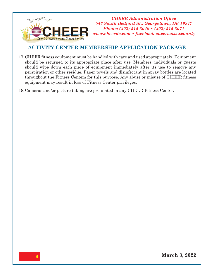

#### **ACTIVITY CENTER MEMBERSHIP APPLICATION PACKAGE**

17.CHEER fitness equipment must be handled with care and used appropriately. Equipment should be returned to its appropriate place after use. Members, individuals or guests should wipe down each piece of equipment immediately after its use to remove any perspiration or other residue. Paper towels and disinfectant in spray bottles are located throughout the Fitness Centers for this purpose. Any abuse or misuse of CHEER fitness equipment may result in loss of Fitness Center privileges.

18.Cameras and/or picture taking are prohibited in any CHEER Fitness Center.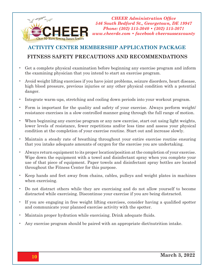

### **ACTIVITY CENTER MEMBERSHIP APPLICATION PACKAGE**

#### **FITNESS SAFETY PRECAUTIONS AND RECOMMENDATIONS**

- Get a complete physical examination before beginning any exercise program and inform the examining physician that you intend to start an exercise program.
- Avoid weight lifting exercises if you have joint problems, seizure disorders, heart disease, high blood pressure, previous injuries or any other physical condition with a potential danger.
- Integrate warm-ups, stretching and cooling down periods into your workout program.
- Form is important for the quality and safety of your exercise. Always perform weight/ resistance exercises in a slow controlled manner going through the full range of motion.
- When beginning any exercise program or any new exercise, start out using light weights, lower levels of resistance, fewer repetitions and/or less time and assess your physical condition at the completion of your exercise routine. Start out and increase slowly.
- Maintain a steady rate of breathing throughout your entire exercise routine ensuring that you intake adequate amounts of oxygen for the exercise you are undertaking.
- Always return equipment to its proper location/position at the completion of your exercise. Wipe down the equipment with a towel and disinfectant spray when you complete your use of that piece of equipment. Paper towels and disinfectant spray bottles are located throughout the Fitness Center for this purpose.
- Keep hands and feet away from chains, cables, pulleys and weight plates in machines when exercising.
- Do not distract others while they are exercising and do not allow yourself to become distracted while exercising. Discontinue your exercise if you are being distracted.
- If you are engaging in free weight lifting exercises, consider having a qualified spotter and communicate your planned exercise activity with the spotter.
- Maintain proper hydration while exercising. Drink adequate fluids.
- Any exercise program should be paired with an appropriate diet/nutrition intake.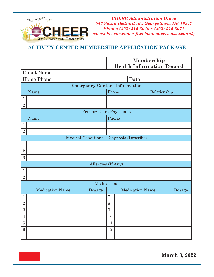

#### **ACTIVITY CENTER MEMBERSHIP APPLICATION PACKAGE**

|                                      |                                           |                    | Membership<br><b>Health Information Record</b> |  |                        |  |        |  |  |  |  |  |  |
|--------------------------------------|-------------------------------------------|--------------------|------------------------------------------------|--|------------------------|--|--------|--|--|--|--|--|--|
| <b>Client Name</b>                   |                                           |                    |                                                |  |                        |  |        |  |  |  |  |  |  |
| Home Phone                           | Date                                      |                    |                                                |  |                        |  |        |  |  |  |  |  |  |
| <b>Emergency Contact Information</b> |                                           |                    |                                                |  |                        |  |        |  |  |  |  |  |  |
| Name                                 |                                           |                    | Phone                                          |  | Relationship           |  |        |  |  |  |  |  |  |
| $\,1\,$                              |                                           |                    |                                                |  |                        |  |        |  |  |  |  |  |  |
| $\overline{2}$                       |                                           |                    |                                                |  |                        |  |        |  |  |  |  |  |  |
| Primary Care Physicians              |                                           |                    |                                                |  |                        |  |        |  |  |  |  |  |  |
| Name                                 |                                           |                    |                                                |  |                        |  |        |  |  |  |  |  |  |
| $\mathbf{1}$                         |                                           |                    |                                                |  |                        |  |        |  |  |  |  |  |  |
| $\overline{2}$                       |                                           |                    |                                                |  |                        |  |        |  |  |  |  |  |  |
|                                      | Medical Conditions - Diagnosis (Describe) |                    |                                                |  |                        |  |        |  |  |  |  |  |  |
| $\mathbf{1}$                         |                                           |                    |                                                |  |                        |  |        |  |  |  |  |  |  |
| $\overline{2}$                       |                                           |                    |                                                |  |                        |  |        |  |  |  |  |  |  |
| 3                                    |                                           |                    |                                                |  |                        |  |        |  |  |  |  |  |  |
|                                      |                                           | Allergies (If Any) |                                                |  |                        |  |        |  |  |  |  |  |  |
| $\mathbf{1}$                         |                                           |                    |                                                |  |                        |  |        |  |  |  |  |  |  |
| $\overline{2}$                       |                                           |                    |                                                |  |                        |  |        |  |  |  |  |  |  |
| Medications                          |                                           |                    |                                                |  |                        |  |        |  |  |  |  |  |  |
| <b>Medication Name</b>               |                                           | Dosage             |                                                |  | <b>Medication Name</b> |  | Dosage |  |  |  |  |  |  |
| $\mathbf{1}$                         |                                           |                    | $\overline{7}$                                 |  |                        |  |        |  |  |  |  |  |  |
| $\overline{2}$                       |                                           |                    | 8                                              |  |                        |  |        |  |  |  |  |  |  |
| 3                                    |                                           |                    | 9                                              |  |                        |  |        |  |  |  |  |  |  |
| $\overline{4}$                       |                                           |                    | 10                                             |  |                        |  |        |  |  |  |  |  |  |
| $\overline{5}$                       |                                           |                    | 11                                             |  |                        |  |        |  |  |  |  |  |  |
| 6                                    |                                           |                    | 12                                             |  |                        |  |        |  |  |  |  |  |  |
|                                      |                                           |                    |                                                |  |                        |  |        |  |  |  |  |  |  |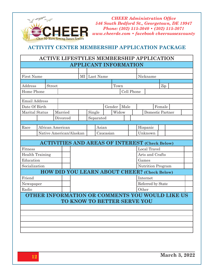

#### **ACTIVITY CENTER MEMBERSHIP APPLICATION PACKAGE**

#### **ACTIVE LIFESTYLES MEMBERSHIP APPLICATION APPLICANT INFORMATION**

| <b>First Name</b>      |  | MI             |  |                                                       |                       |        | Last Name |           |                          |       |                  | Nickname |         |  |  |  |  |  |
|------------------------|--|----------------|--|-------------------------------------------------------|-----------------------|--------|-----------|-----------|--------------------------|-------|------------------|----------|---------|--|--|--|--|--|
|                        |  |                |  |                                                       |                       |        |           |           |                          |       |                  |          |         |  |  |  |  |  |
| Address                |  | Street         |  |                                                       |                       | Town   |           |           |                          |       |                  |          | Zip     |  |  |  |  |  |
| Home Phone             |  |                |  |                                                       | Cell Phone            |        |           |           |                          |       |                  |          |         |  |  |  |  |  |
| <b>Email Address</b>   |  |                |  |                                                       |                       |        |           |           |                          |       |                  |          |         |  |  |  |  |  |
| Date Of Birth          |  | Male<br>Gender |  |                                                       |                       |        | Female    |           |                          |       |                  |          |         |  |  |  |  |  |
| <b>Marital Status</b>  |  |                |  | Married                                               |                       | Widow  |           |           |                          |       | Domestic Partner |          |         |  |  |  |  |  |
|                        |  |                |  |                                                       |                       | Single |           |           |                          |       |                  |          |         |  |  |  |  |  |
|                        |  |                |  |                                                       | Divorced<br>Separated |        |           |           |                          |       |                  |          |         |  |  |  |  |  |
| Race                   |  |                |  | African American                                      |                       |        | Asian     |           |                          |       | Hispanic         |          |         |  |  |  |  |  |
|                        |  |                |  | Native American/Alaskan                               |                       |        |           | Caucasian |                          |       |                  |          | Unknown |  |  |  |  |  |
|                        |  |                |  |                                                       |                       |        |           |           |                          |       |                  |          |         |  |  |  |  |  |
|                        |  |                |  | <b>ACTIVITIES AND AREAS OF INTEREST (Check Below)</b> |                       |        |           |           |                          |       |                  |          |         |  |  |  |  |  |
| Fitness                |  |                |  |                                                       |                       |        |           |           |                          |       | Local Travel     |          |         |  |  |  |  |  |
| <b>Health Training</b> |  |                |  |                                                       |                       |        |           |           |                          |       | Arts and Crafts  |          |         |  |  |  |  |  |
| Education              |  |                |  |                                                       |                       |        |           |           |                          | Games |                  |          |         |  |  |  |  |  |
| Socialization          |  |                |  |                                                       |                       |        |           |           | <b>Nutrition Program</b> |       |                  |          |         |  |  |  |  |  |
|                        |  |                |  | <b>HOW DID YOU LEARN ABOUT CHEER?</b> (Check Below)   |                       |        |           |           |                          |       |                  |          |         |  |  |  |  |  |
| Friend                 |  |                |  |                                                       |                       |        |           |           | Internet                 |       |                  |          |         |  |  |  |  |  |
| Newspaper              |  |                |  |                                                       |                       |        |           |           | Referred by State        |       |                  |          |         |  |  |  |  |  |
| Radio                  |  |                |  |                                                       | Other                 |        |           |           |                          |       |                  |          |         |  |  |  |  |  |
|                        |  |                |  | OTHER INFORMATION OR COMMENTS YOU WOULD LIKE US       |                       |        |           |           |                          |       |                  |          |         |  |  |  |  |  |
|                        |  |                |  | TO KNOW TO BETTER SERVE YOU                           |                       |        |           |           |                          |       |                  |          |         |  |  |  |  |  |
|                        |  |                |  |                                                       |                       |        |           |           |                          |       |                  |          |         |  |  |  |  |  |
|                        |  |                |  |                                                       |                       |        |           |           |                          |       |                  |          |         |  |  |  |  |  |
|                        |  |                |  |                                                       |                       |        |           |           |                          |       |                  |          |         |  |  |  |  |  |
|                        |  |                |  |                                                       |                       |        |           |           |                          |       |                  |          |         |  |  |  |  |  |
|                        |  |                |  |                                                       |                       |        |           |           |                          |       |                  |          |         |  |  |  |  |  |
|                        |  |                |  |                                                       |                       |        |           |           |                          |       |                  |          |         |  |  |  |  |  |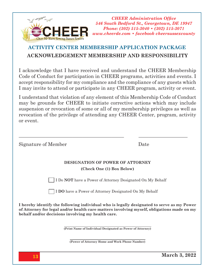

## **ACTIVITY CENTER MEMBERSHIP APPLICATION PACKAGE ACKNOWLEDGEMENT MEMBERSHIP AND RESPONSIBILITY**

I acknowledge that I have received and understand the CHEER Membership Code of Conduct for participation in CHEER programs, activities and events. I accept responsibility for my compliance and the compliance of any guests which I may invite to attend or participate in any CHEER program, activity or event.

I understand that violation of any element of this Membership Code of Conduct may be grounds for CHEER to initiate corrective actions which may include suspension or revocation of some or all of my membership privileges as well as revocation of the privilege of attending any CHEER Center, program, activity or event.

\_\_\_\_\_\_\_\_\_\_\_\_\_\_\_\_\_\_\_\_\_\_\_\_\_\_\_\_\_\_\_\_\_\_\_\_\_\_\_\_\_\_\_ \_\_\_\_\_\_\_\_\_\_\_\_\_\_\_\_\_\_\_\_

Signature of Member Date

#### **DESIGNATION OF POWER OF ATTORNEY (Check One (1) Box Below)**

I Do **NOT** have a Power of Attorney Designated On My Behalf

I **DO** have a Power of Attorney Designated On My Behalf

**I hereby identify the following individual who is legally designated to serve as my Power of Attorney for legal and/or health care matters involving myself, obligations made on my behalf and/or decisions involving my health care.**

**(Print Name of Individual Designated as Power of Attorney)**

**(Power of Attorney Home and Work Phone Number)**